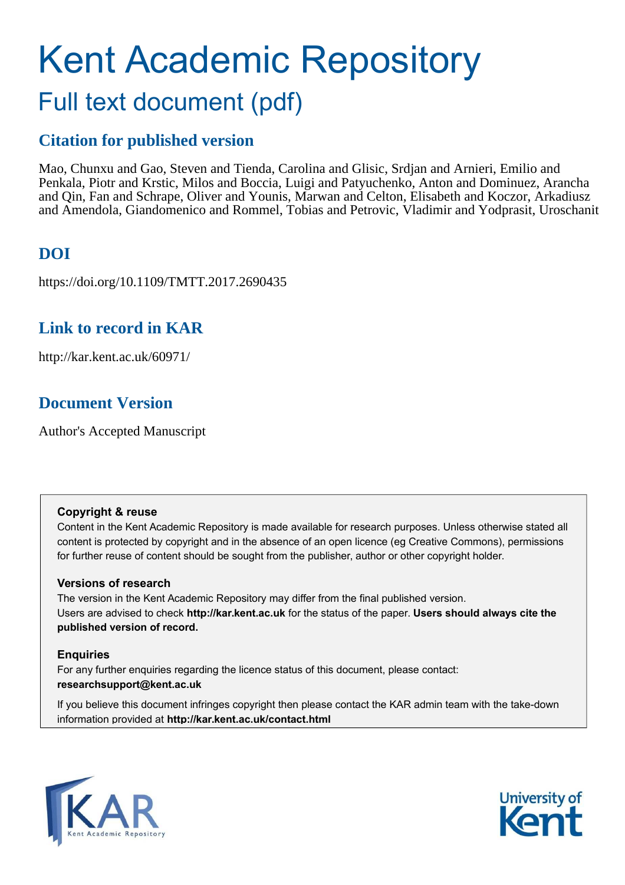# Kent Academic Repository Full text document (pdf)

### **Citation for published version**

Mao, Chunxu and Gao, Steven and Tienda, Carolina and Glisic, Srdjan and Arnieri, Emilio and Penkala, Piotr and Krstic, Milos and Boccia, Luigi and Patyuchenko, Anton and Dominuez, Arancha and Qin, Fan and Schrape, Oliver and Younis, Marwan and Celton, Elisabeth and Koczor, Arkadiusz and Amendola, Giandomenico and Rommel, Tobias and Petrovic, Vladimir and Yodprasit, Uroschanit

# **DOI**

https://doi.org/10.1109/TMTT.2017.2690435

### **Link to record in KAR**

http://kar.kent.ac.uk/60971/

# **Document Version**

Author's Accepted Manuscript

### **Copyright & reuse**

Content in the Kent Academic Repository is made available for research purposes. Unless otherwise stated all content is protected by copyright and in the absence of an open licence (eg Creative Commons), permissions for further reuse of content should be sought from the publisher, author or other copyright holder.

### **Versions of research**

The version in the Kent Academic Repository may differ from the final published version. Users are advised to check **http://kar.kent.ac.uk** for the status of the paper. **Users should always cite the published version of record.**

### **Enquiries**

For any further enquiries regarding the licence status of this document, please contact: **researchsupport@kent.ac.uk**

If you believe this document infringes copyright then please contact the KAR admin team with the take-down information provided at **http://kar.kent.ac.uk/contact.html**



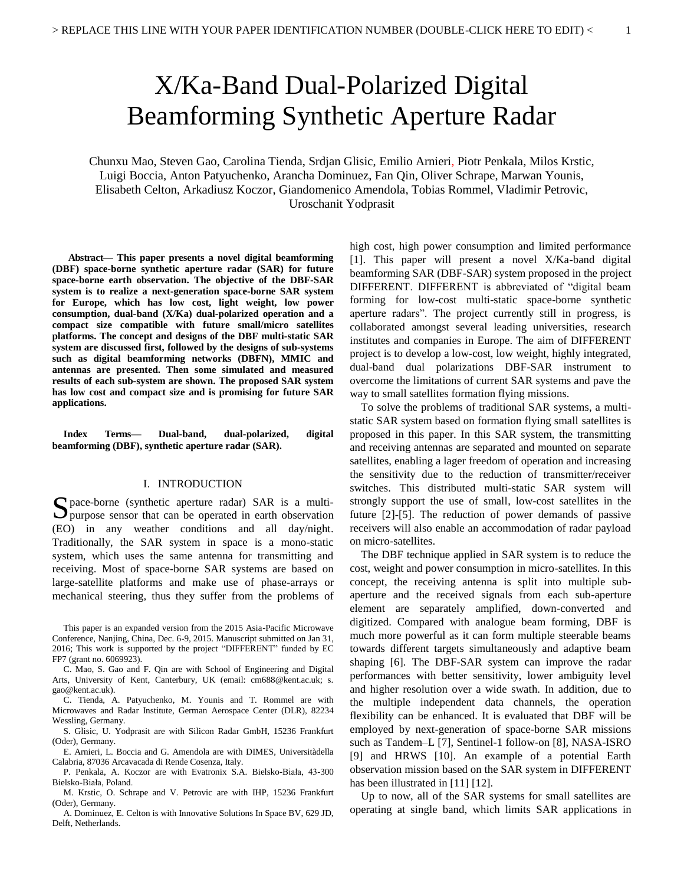# X/Ka-Band Dual-Polarized Digital Beamforming Synthetic Aperture Radar

Chunxu Mao, Steven Gao, Carolina Tienda, Srdjan Glisic, Emilio Arnieri, Piotr Penkala, Milos Krstic, Luigi Boccia, Anton Patyuchenko, Arancha Dominuez, Fan Qin, Oliver Schrape, Marwan Younis, Elisabeth Celton, Arkadiusz Koczor, Giandomenico Amendola, Tobias Rommel, Vladimir Petrovic, Uroschanit Yodprasit

**Abstract— This paper presents a novel digital beamforming (DBF) space-borne synthetic aperture radar (SAR) for future space-borne earth observation. The objective of the DBF-SAR system is to realize a next-generation space-borne SAR system for Europe, which has low cost, light weight, low power consumption, dual-band (X/Ka) dual-polarized operation and a compact size compatible with future small/micro satellites platforms. The concept and designs of the DBF multi-static SAR system are discussed first, followed by the designs of sub-systems such as digital beamforming networks (DBFN), MMIC and antennas are presented. Then some simulated and measured results of each sub-system are shown. The proposed SAR system has low cost and compact size and is promising for future SAR applications.** 

**Index Terms— Dual-band, dual-polarized, digital beamforming (DBF), synthetic aperture radar (SAR).** 

#### I. INTRODUCTION

pace-borne (synthetic aperture radar) SAR is a multi-Space-borne (synthetic aperture radar) SAR is a multi-<br>purpose sensor that can be operated in earth observation (EO) in any weather conditions and all day/night. Traditionally, the SAR system in space is a mono-static system, which uses the same antenna for transmitting and receiving. Most of space-borne SAR systems are based on large-satellite platforms and make use of phase-arrays or mechanical steering, thus they suffer from the problems of

A. Dominuez, E. Celton is with Innovative Solutions In Space BV, 629 JD, Delft, Netherlands.

high cost, high power consumption and limited performance [1]. This paper will present a novel X/Ka-band digital beamforming SAR (DBF-SAR) system proposed in the project DIFFERENT. DIFFERENT is abbreviated of "digital beam forming for low-cost multi-static space-borne synthetic aperture radars". The project currently still in progress, is collaborated amongst several leading universities, research institutes and companies in Europe. The aim of DIFFERENT project is to develop a low-cost, low weight, highly integrated, dual-band dual polarizations DBF-SAR instrument to overcome the limitations of current SAR systems and pave the way to small satellites formation flying missions.

 To solve the problems of traditional SAR systems, a multistatic SAR system based on formation flying small satellites is proposed in this paper. In this SAR system, the transmitting and receiving antennas are separated and mounted on separate satellites, enabling a lager freedom of operation and increasing the sensitivity due to the reduction of transmitter/receiver switches. This distributed multi-static SAR system will strongly support the use of small, low-cost satellites in the future [2]-[5]. The reduction of power demands of passive receivers will also enable an accommodation of radar payload on micro-satellites.

 The DBF technique applied in SAR system is to reduce the cost, weight and power consumption in micro-satellites. In this concept, the receiving antenna is split into multiple subaperture and the received signals from each sub-aperture element are separately amplified, down-converted and digitized. Compared with analogue beam forming, DBF is much more powerful as it can form multiple steerable beams towards different targets simultaneously and adaptive beam shaping [6]. The DBF-SAR system can improve the radar performances with better sensitivity, lower ambiguity level and higher resolution over a wide swath. In addition, due to the multiple independent data channels, the operation flexibility can be enhanced. It is evaluated that DBF will be employed by next-generation of space-borne SAR missions such as Tandem–L [7], Sentinel-1 follow-on [8], NASA-ISRO [9] and HRWS [10]. An example of a potential Earth observation mission based on the SAR system in DIFFERENT has been illustrated in [11] [12].

 Up to now, all of the SAR systems for small satellites are operating at single band, which limits SAR applications in

This paper is an expanded version from the 2015 Asia-Pacific Microwave Conference, Nanjing, China, Dec. 6-9, 2015. Manuscript submitted on Jan 31, 2016; This work is supported by the project "DIFFERENT" funded by EC FP7 (grant no. 6069923).

C. Mao, S. Gao and F. Qin are with School of Engineering and Digital Arts, University of Kent, Canterbury, UK (email: cm688@kent.ac.uk; s. gao@kent.ac.uk).

C. Tienda, A. Patyuchenko, M. Younis and T. Rommel are with Microwaves and Radar Institute, German Aerospace Center (DLR), 82234 Wessling, Germany.

S. Glisic, U. Yodprasit are with Silicon Radar GmbH, 15236 Frankfurt (Oder), Germany.

E. Arnieri, L. Boccia and G. Amendola are with DIMES, Universitàdella Calabria, 87036 Arcavacada di Rende Cosenza, Italy.

P. Penkala, A. Koczor are with Evatronix S.A. Bielsko-Biała, 43-300 Bielsko-Biała, Poland.

M. Krstic, O. Schrape and V. Petrovic are with IHP, 15236 Frankfurt (Oder), Germany.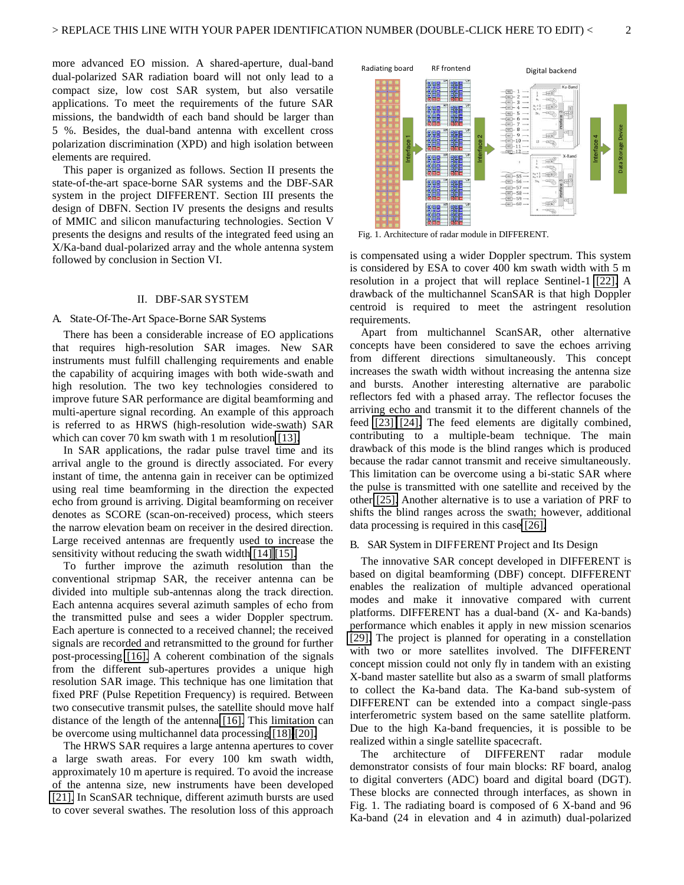more advanced EO mission. A shared-aperture, dual-band dual-polarized SAR radiation board will not only lead to a compact size, low cost SAR system, but also versatile applications. To meet the requirements of the future SAR missions, the bandwidth of each band should be larger than 5 %. Besides, the dual-band antenna with excellent cross polarization discrimination (XPD) and high isolation between elements are required.

 This paper is organized as follows. Section II presents the state-of-the-art space-borne SAR systems and the DBF-SAR system in the project DIFFERENT. Section III presents the design of DBFN. Section IV presents the designs and results of MMIC and silicon manufacturing technologies. Section V presents the designs and results of the integrated feed using an X/Ka-band dual-polarized array and the whole antenna system followed by conclusion in Section VI.

#### II. DBF-SAR SYSTEM

#### A. State-Of-The-Art Space-Borne SAR Systems

 There has been a considerable increase of EO applications that requires high-resolution SAR images. New SAR instruments must fulfill challenging requirements and enable the capability of acquiring images with both wide-swath and high resolution. The two key technologies considered to improve future SAR performance are digital beamforming and multi-aperture signal recording. An example of this approach is referred to as HRWS (high-resolution wide-swath) SAR which can cover 70 km swath with 1 m resolution [\[13\].](#page-7-0)

 In SAR applications, the radar pulse travel time and its arrival angle to the ground is directly associated. For every instant of time, the antenna gain in receiver can be optimized using real time beamforming in the direction the expected echo from ground is arriving. Digital beamforming on receiver denotes as SCORE (scan-on-received) process, which steers the narrow elevation beam on receiver in the desired direction. Large received antennas are frequently used to increase the sensitivity without reducing the swath width [\[14\]](#page-7-1) [\[15\].](#page-7-2)

 To further improve the azimuth resolution than the conventional stripmap SAR, the receiver antenna can be divided into multiple sub-antennas along the track direction. Each antenna acquires several azimuth samples of echo from the transmitted pulse and sees a wider Doppler spectrum. Each aperture is connected to a received channel; the received signals are recorded and retransmitted to the ground for further post-processing [\[16\].](#page-7-3) A coherent combination of the signals from the different sub-apertures provides a unique high resolution SAR image. This technique has one limitation that fixed PRF (Pulse Repetition Frequency) is required. Between two consecutive transmit pulses, the satellite should move half distance of the length of the antenna [\[16\].](#page-7-3) This limitation can be overcome using multichannel data processing [\[18\]-](#page-7-4)[\[20\].](#page-7-5)

 The HRWS SAR requires a large antenna apertures to cover a large swath areas. For every 100 km swath width, approximately 10 m aperture is required. To avoid the increase of the antenna size, new instruments have been developed [\[21\].](#page-7-6) In ScanSAR technique, different azimuth bursts are used to cover several swathes. The resolution loss of this approach



Fig. 1. Architecture of radar module in DIFFERENT.

is compensated using a wider Doppler spectrum. This system is considered by ESA to cover 400 km swath width with 5 m resolution in a project that will replace Sentinel-1 [\[22\].](#page-7-7) A drawback of the multichannel ScanSAR is that high Doppler centroid is required to meet the astringent resolution requirements.

 Apart from multichannel ScanSAR, other alternative concepts have been considered to save the echoes arriving from different directions simultaneously. This concept increases the swath width without increasing the antenna size and bursts. Another interesting alternative are parabolic reflectors fed with a phased array. The reflector focuses the arriving echo and transmit it to the different channels of the feed [\[23\]](#page-7-8) [\[24\].](#page-7-9) The feed elements are digitally combined, contributing to a multiple-beam technique. The main drawback of this mode is the blind ranges which is produced because the radar cannot transmit and receive simultaneously. This limitation can be overcome using a bi-static SAR where the pulse is transmitted with one satellite and received by the other [\[25\].](#page-7-10) Another alternative is to use a variation of PRF to shifts the blind ranges across the swath; however, additional data processing is required in this cas[e \[26\].](#page-7-11) Fig. 1. Architecture of the minimization and the storage of the storage of the minimization and 4 in a project that will replace Sentime-1 [22]. A storage researched by BSA to cover 400 km swath width string Deplet resear

#### B. SAR System in DIFFERENT Project and Its Design

 The innovative SAR concept developed in DIFFERENT is based on digital beamforming (DBF) concept. DIFFERENT enables the realization of multiple advanced operational modes and make it innovative compared with current platforms. DIFFERENT has a dual-band (X- and Ka-bands) performance which enables it apply in new mission scenarios [\[29\].](#page-7-12) The project is planned for operating in a constellation with two or more satellites involved. The DIFFERENT concept mission could not only fly in tandem with an existing X-band master satellite but also as a swarm of small platforms to collect the Ka-band data. The Ka-band sub-system of DIFFERENT can be extended into a compact single-pass interferometric system based on the same satellite platform. Due to the high Ka-band frequencies, it is possible to be realized within a single satellite spacecraft.

 The architecture of DIFFERENT radar module demonstrator consists of four main blocks: RF board, analog to digital converters (ADC) board and digital board (DGT). These blocks are connected through interfaces, as shown in Fig. 1. The radiating board is composed of 6 X-band and 96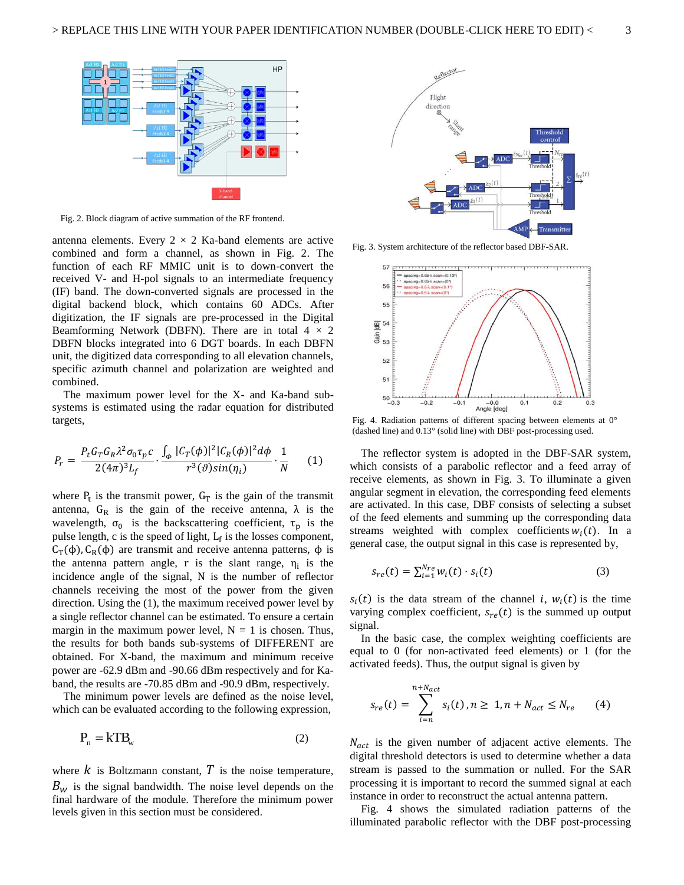

Fig. 2. Block diagram of active summation of the RF frontend.

antenna elements. Every  $2 \times 2$  Ka-band elements are active combined and form a channel, as shown in Fig. 2. The function of each RF MMIC unit is to down-convert the received V- and H-pol signals to an intermediate frequency (IF) band. The down-converted signals are processed in the digital backend block, which contains 60 ADCs. After digitization, the IF signals are pre-processed in the Digital Beamforming Network (DBFN). There are in total  $4 \times 2$ DBFN blocks integrated into 6 DGT boards. In each DBFN unit, the digitized data corresponding to all elevation channels, specific azimuth channel and polarization are weighted and combined.

 The maximum power level for the X- and Ka-band subsystems is estimated using the radar equation for distributed targets,

$$
P_r = \frac{P_t G_T G_R \lambda^2 \sigma_0 \tau_p c}{2(4\pi)^3 L_f} \cdot \frac{\int_{\phi} |C_T(\phi)|^2 |C_R(\phi)|^2 d\phi}{r^3(\vartheta) sin(\eta_i)} \cdot \frac{1}{N} \tag{1}
$$

where  $P_t$  is the transmit power,  $G_T$  is the gain of the transmit antenna,  $G_R$  is the gain of the receive antenna,  $\lambda$  is the wavelength,  $\sigma_0$  is the backscattering coefficient,  $\tau_p$  is the pulse length,  $c$  is the speed of light,  $L_f$  is the losses component,  $C_T(\phi)$ ,  $C_R(\phi)$  are transmit and receive antenna patterns,  $\phi$  is the antenna pattern angle, r is the slant range,  $\eta_i$  is the incidence angle of the signal, N is the number of reflector channels receiving the most of the power from the given direction. Using the (1), the maximum received power level by a single reflector channel can be estimated. To ensure a certain margin in the maximum power level,  $N = 1$  is chosen. Thus, the results for both bands sub-systems of DIFFERENT are obtained. For X-band, the maximum and minimum receive power are -62.9 dBm and -90.66 dBm respectively and for Kaband, the results are -70.85 dBm and -90.9 dBm, respectively.

 The minimum power levels are defined as the noise level, which can be evaluated according to the following expression,

$$
P_n = kTB_w \tag{2}
$$

where  $k$  is Boltzmann constant,  $T$  is the noise temperature,  $B_{\rm w}$  is the signal bandwidth. The noise level depends on the final hardware of the module. Therefore the minimum power levels given in this section must be considered.



Fig. 3. System architecture of the reflector based DBF-SAR.



Fig. 4. Radiation patterns of different spacing between elements at 0° (dashed line) and 0.13° (solid line) with DBF post-processing used.

 The reflector system is adopted in the DBF-SAR system, which consists of a parabolic reflector and a feed array of receive elements, as shown in Fig. 3. To illuminate a given angular segment in elevation, the corresponding feed elements are activated. In this case, DBF consists of selecting a subset of the feed elements and summing up the corresponding data streams weighted with complex coefficients  $w_i(t)$ . In a general case, the output signal in this case is represented by,

$$
s_{re}(t) = \sum_{i=1}^{N_{re}} w_i(t) \cdot s_i(t)
$$
 (3)

 $s_i(t)$  is the data stream of the channel *i*,  $w_i(t)$  is the time varying complex coefficient,  $s_{re}(t)$  is the summed up output signal.

 In the basic case, the complex weighting coefficients are equal to 0 (for non-activated feed elements) or 1 (for the activated feeds). Thus, the output signal is given by

$$
s_{re}(t) = \sum_{i=n}^{n+N_{act}} s_i(t), n \ge 1, n + N_{act} \le N_{re}
$$
 (4)

 $N_{act}$  is the given number of adjacent active elements. The digital threshold detectors is used to determine whether a data stream is passed to the summation or nulled. For the SAR processing it is important to record the summed signal at each instance in order to reconstruct the actual antenna pattern.

 Fig. 4 shows the simulated radiation patterns of the illuminated parabolic reflector with the DBF post-processing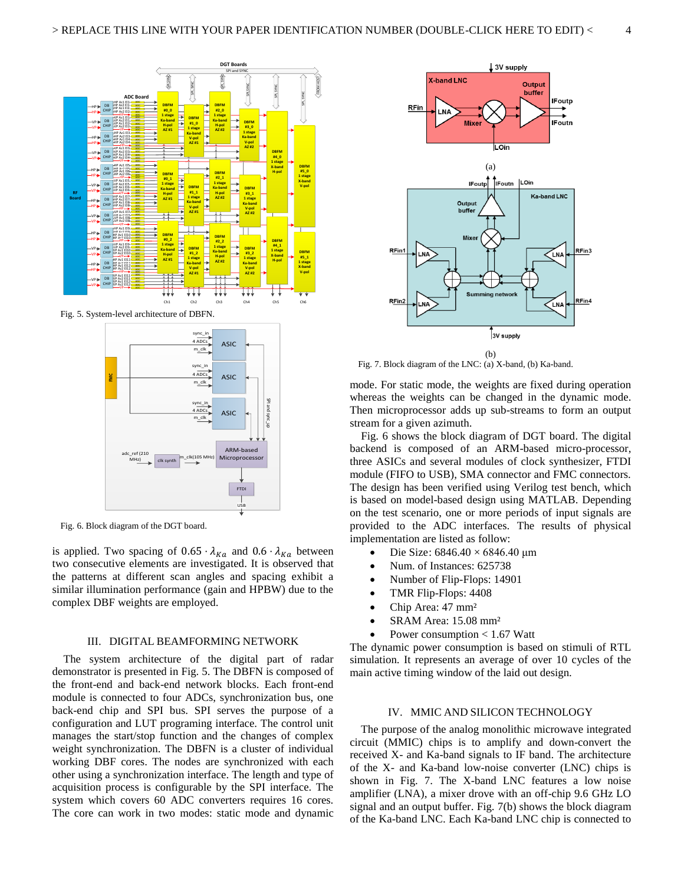

Fig. 5. System-level architecture of DBFN.



Fig. 6. Block diagram of the DGT board.

is applied. Two spacing of  $0.65 \cdot \lambda_{Ka}$  and  $0.6 \cdot \lambda_{Ka}$  between two consecutive elements are investigated. It is observed that the patterns at different scan angles and spacing exhibit a similar illumination performance (gain and HPBW) due to the complex DBF weights are employed.

#### III. DIGITAL BEAMFORMING NETWORK

 The system architecture of the digital part of radar demonstrator is presented in Fig. 5. The DBFN is composed of the front-end and back-end network blocks. Each front-end module is connected to four ADCs, synchronization bus, one back-end chip and SPI bus. SPI serves the purpose of a configuration and LUT programing interface. The control unit manages the start/stop function and the changes of complex weight synchronization. The DBFN is a cluster of individual working DBF cores. The nodes are synchronized with each other using a synchronization interface. The length and type of acquisition process is configurable by the SPI interface. The system which covers 60 ADC converters requires 16 cores. The core can work in two modes: static mode and dynamic



Fig. 7. Block diagram of the LNC: (a) X-band, (b) Ka-band.

mode. For static mode, the weights are fixed during operation whereas the weights can be changed in the dynamic mode. Then microprocessor adds up sub-streams to form an output stream for a given azimuth.

 Fig. 6 shows the block diagram of DGT board. The digital backend is composed of an ARM-based micro-processor, three ASICs and several modules of clock synthesizer, FTDI module (FIFO to USB), SMA connector and FMC connectors. The design has been verified using Verilog test bench, which is based on model-based design using MATLAB. Depending on the test scenario, one or more periods of input signals are provided to the ADC interfaces. The results of physical implementation are listed as follow:

- Die Size:  $6846.40 \times 6846.40 \mu m$
- Num. of Instances: 625738
- Number of Flip-Flops: 14901
- TMR Flip-Flops: 4408
- Chip Area: 47 mm²
- SRAM Area: 15.08 mm²
- Power consumption < 1.67 Watt

The dynamic power consumption is based on stimuli of RTL simulation. It represents an average of over 10 cycles of the main active timing window of the laid out design.

#### IV. MMIC AND SILICON TECHNOLOGY

 The purpose of the analog monolithic microwave integrated circuit (MMIC) chips is to amplify and down-convert the received X- and Ka-band signals to IF band. The architecture of the X- and Ka-band low-noise converter (LNC) chips is shown in Fig. 7. The X-band LNC features a low noise amplifier (LNA), a mixer drove with an off-chip 9.6 GHz LO signal and an output buffer. Fig. 7(b) shows the block diagram of the Ka-band LNC. Each Ka-band LNC chip is connected to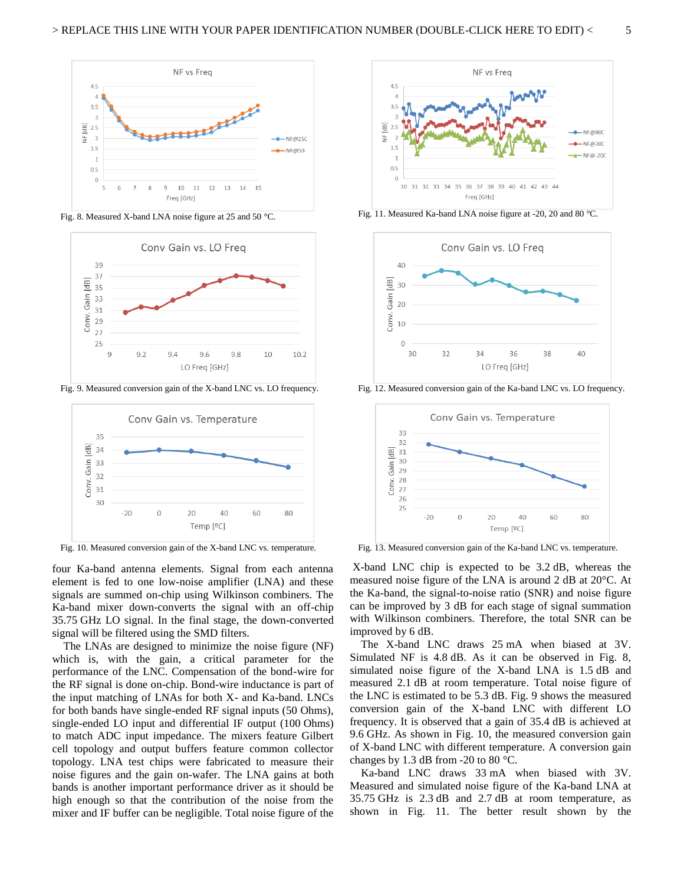

Fig. 8. Measured X-band LNA noise figure at 25 and 50 °C.



Fig. 9. Measured conversion gain of the X-band LNC vs. LO frequency.



Fig. 10. Measured conversion gain of the X-band LNC vs. temperature.

four Ka-band antenna elements. Signal from each antenna element is fed to one low-noise amplifier (LNA) and these signals are summed on-chip using Wilkinson combiners. The Ka-band mixer down-converts the signal with an off-chip 35.75 GHz LO signal. In the final stage, the down-converted signal will be filtered using the SMD filters.

 The LNAs are designed to minimize the noise figure (NF) which is, with the gain, a critical parameter for the performance of the LNC. Compensation of the bond-wire for the RF signal is done on-chip. Bond-wire inductance is part of the input matching of LNAs for both X- and Ka-band. LNCs for both bands have single-ended RF signal inputs (50 Ohms), single-ended LO input and differential IF output (100 Ohms) to match ADC input impedance. The mixers feature Gilbert cell topology and output buffers feature common collector topology. LNA test chips were fabricated to measure their noise figures and the gain on-wafer. The LNA gains at both bands is another important performance driver as it should be high enough so that the contribution of the noise from the mixer and IF buffer can be negligible. Total noise figure of the



Fig. 11. Measured Ka-band LNA noise figure at -20, 20 and 80 °C.



Fig. 12. Measured conversion gain of the Ka-band LNC vs. LO frequency.



Fig. 13. Measured conversion gain of the Ka-band LNC vs. temperature.

 X-band LNC chip is expected to be 3.2 dB, whereas the measured noise figure of the LNA is around 2 dB at 20°C. At the Ka-band, the signal-to-noise ratio (SNR) and noise figure can be improved by 3 dB for each stage of signal summation with Wilkinson combiners. Therefore, the total SNR can be improved by 6 dB.

 The X-band LNC draws 25 mA when biased at 3V. Simulated NF is 4.8 dB. As it can be observed in Fig. 8, simulated noise figure of the X-band LNA is 1.5 dB and measured 2.1 dB at room temperature. Total noise figure of the LNC is estimated to be 5.3 dB. Fig. 9 shows the measured conversion gain of the X-band LNC with different LO frequency. It is observed that a gain of 35.4 dB is achieved at 9.6 GHz. As shown in Fig. 10, the measured conversion gain of X-band LNC with different temperature. A conversion gain changes by 1.3 dB from -20 to 80  $^{\circ}$ C.

 Ka-band LNC draws 33 mA when biased with 3V. Measured and simulated noise figure of the Ka-band LNA at 35.75 GHz is 2.3 dB and 2.7 dB at room temperature, as shown in Fig. 11. The better result shown by the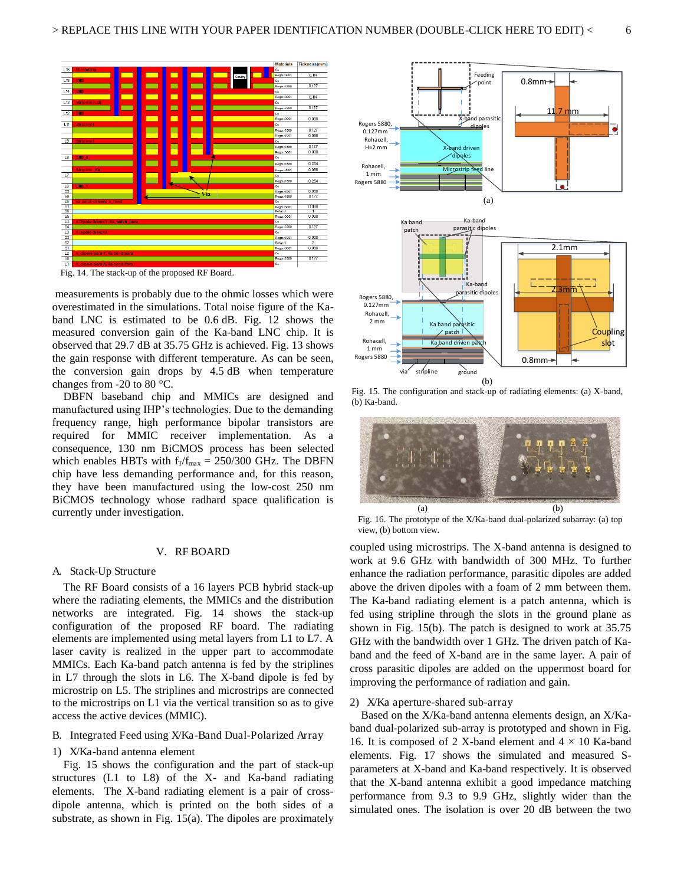

Fig. 14. The stack-up of the proposed RF Board.

 measurements is probably due to the ohmic losses which were overestimated in the simulations. Total noise figure of the Kaband LNC is estimated to be 0.6 dB. Fig. 12 shows the measured conversion gain of the Ka-band LNC chip. It is observed that 29.7 dB at 35.75 GHz is achieved. Fig. 13 shows the gain response with different temperature. As can be seen, the conversion gain drops by 4.5 dB when temperature changes from -20 to 80 °C.

 DBFN baseband chip and MMICs are designed and manufactured using IHP's technologies. Due to the demanding frequency range, high performance bipolar transistors are required for MMIC receiver implementation. As a consequence, 130 nm BiCMOS process has been selected which enables HBTs with  $f_T/f_{max} = 250/300$  GHz. The DBFN chip have less demanding performance and, for this reason, they have been manufactured using the low-cost 250 nm BiCMOS technology whose radhard space qualification is currently under investigation.

#### V. RF BOARD

#### A. Stack-Up Structure

 The RF Board consists of a 16 layers PCB hybrid stack-up where the radiating elements, the MMICs and the distribution networks are integrated. Fig. 14 shows the stack-up configuration of the proposed RF board. The radiating elements are implemented using metal layers from L1 to L7. A laser cavity is realized in the upper part to accommodate MMICs. Each Ka-band patch antenna is fed by the striplines in L7 through the slots in L6. The X-band dipole is fed by microstrip on L5. The striplines and microstrips are connected to the microstrips on L1 via the vertical transition so as to give access the active devices (MMIC).

#### B. Integrated Feed using X/Ka-Band Dual-Polarized Array

#### 1) X/Ka-band antenna element

 Fig. 15 shows the configuration and the part of stack-up structures (L1 to L8) of the X- and Ka-band radiating elements. The X-band radiating element is a pair of crossdipole antenna, which is printed on the both sides of a substrate, as shown in Fig. 15(a). The dipoles are proximately



Fig. 15. The configuration and stack-up of radiating elements: (a) X-band, (b) Ka-band.



Fig. 16. The prototype of the X/Ka-band dual-polarized subarray: (a) top view, (b) bottom view.

coupled using microstrips. The X-band antenna is designed to work at 9.6 GHz with bandwidth of 300 MHz. To further enhance the radiation performance, parasitic dipoles are added above the driven dipoles with a foam of 2 mm between them. The Ka-band radiating element is a patch antenna, which is fed using stripline through the slots in the ground plane as shown in Fig. 15(b). The patch is designed to work at 35.75 GHz with the bandwidth over 1 GHz. The driven patch of Kaband and the feed of X-band are in the same layer. A pair of cross parasitic dipoles are added on the uppermost board for improving the performance of radiation and gain.

#### 2) X/Ka aperture-shared sub-array

 Based on the X/Ka-band antenna elements design, an X/Kaband dual-polarized sub-array is prototyped and shown in Fig. 16. It is composed of 2 X-band element and  $4 \times 10$  Ka-band elements. Fig. 17 shows the simulated and measured Sparameters at X-band and Ka-band respectively. It is observed that the X-band antenna exhibit a good impedance matching performance from 9.3 to 9.9 GHz, slightly wider than the simulated ones. The isolation is over 20 dB between the two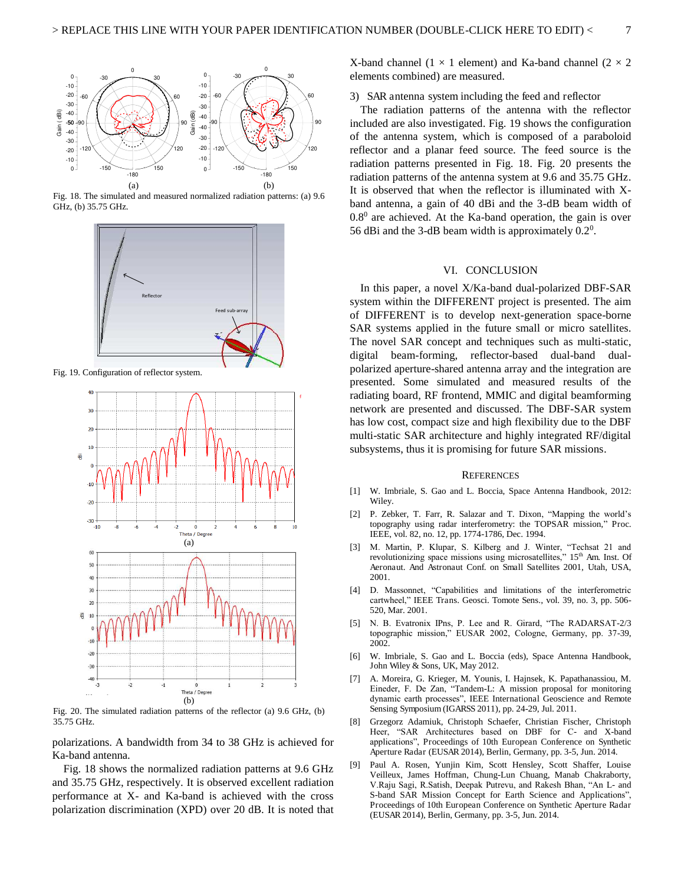

<span id="page-7-1"></span><span id="page-7-0"></span>Fig. 18. The simulated and measured normalized radiation patterns: (a) 9.6 GHz, (b) 35.75 GHz.

<span id="page-7-3"></span><span id="page-7-2"></span>

<span id="page-7-4"></span>Fig. 19. Configuration of reflector system.

<span id="page-7-8"></span><span id="page-7-7"></span><span id="page-7-6"></span><span id="page-7-5"></span>

<span id="page-7-11"></span><span id="page-7-10"></span><span id="page-7-9"></span>Fig. 20. The simulated radiation patterns of the reflector (a) 9.6 GHz, (b) 35.75 GHz.

<span id="page-7-12"></span>polarizations. A bandwidth from 34 to 38 GHz is achieved for Ka-band antenna.

 Fig. 18 shows the normalized radiation patterns at 9.6 GHz and 35.75 GHz, respectively. It is observed excellent radiation performance at X- and Ka-band is achieved with the cross polarization discrimination (XPD) over 20 dB. It is noted that X-band channel (1  $\times$  1 element) and Ka-band channel (2  $\times$  2 elements combined) are measured.

#### 3) SAR antenna system including the feed and reflector

The radiation patterns of the antenna with the reflector included are also investigated. Fig. 19 shows the configuration of the antenna system, which is composed of a paraboloid reflector and a planar feed source. The feed source is the radiation patterns presented in Fig. 18. Fig. 20 presents the radiation patterns of the antenna system at 9.6 and 35.75 GHz. It is observed that when the reflector is illuminated with Xband antenna, a gain of 40 dBi and the 3-dB beam width of  $0.8<sup>0</sup>$  are achieved. At the Ka-band operation, the gain is over 56 dBi and the 3-dB beam width is approximately  $0.2<sup>0</sup>$ .

#### VI. CONCLUSION

In this paper, a novel X/Ka-band dual-polarized DBF-SAR system within the DIFFERENT project is presented. The aim of DIFFERENT is to develop next-generation space-borne SAR systems applied in the future small or micro satellites. The novel SAR concept and techniques such as multi-static, digital beam-forming, reflector-based dual-band dualpolarized aperture-shared antenna array and the integration are presented. Some simulated and measured results of the radiating board, RF frontend, MMIC and digital beamforming network are presented and discussed. The DBF-SAR system has low cost, compact size and high flexibility due to the DBF multi-static SAR architecture and highly integrated RF/digital subsystems, thus it is promising for future SAR missions.

#### **REFERENCES**

- [1] W. Imbriale, S. Gao and L. Boccia, Space Antenna Handbook, 2012: Wiley.
- [2] P. Zebker, T. Farr, R. Salazar and T. Dixon, "Mapping the world's topography using radar interferometry: the TOPSAR mission," Proc. IEEE, vol. 82, no. 12, pp. 1774-1786, Dec. 1994.
- [3] M. Martin, P. Klupar, S. Kilberg and J. Winter, "Techsat 21 and revolutionizing space missions using microsatellites," 15<sup>th</sup> Am. Inst. Of Aeronaut. And Astronaut Conf. on Small Satellites 2001, Utah, USA, 2001.
- [4] D. Massonnet, "Capabilities and limitations of the interferometric cartwheel," IEEE Trans. Geosci. Tomote Sens., vol. 39, no. 3, pp. 506- 520, Mar. 2001.
- [5] N. B. Evatronix IPns, P. Lee and R. Girard, "The RADARSAT-2/3 topographic mission," EUSAR 2002, Cologne, Germany, pp. 37-39, 2002.
- [6] W. Imbriale, S. Gao and L. Boccia (eds), Space Antenna Handbook, John Wiley & Sons, UK, May 2012.
- [7] A. Moreira, G. Krieger, M. Younis, I. Hajnsek, K. Papathanassiou, M. Eineder, F. De Zan, "Tandem-L: A mission proposal for monitoring dynamic earth processes", IEEE International Geoscience and Remote Sensing Symposium (IGARSS 2011), pp. 24-29, Jul. 2011.
- [8] Grzegorz Adamiuk, Christoph Schaefer, Christian Fischer, Christoph Heer, "SAR Architectures based on DBF for C- and X-band applications", Proceedings of 10th European Conference on Synthetic Aperture Radar (EUSAR 2014), Berlin, Germany, pp. 3-5, Jun. 2014.
- [9] Paul A. Rosen, Yunjin Kim, Scott Hensley, Scott Shaffer, Louise Veilleux, James Hoffman, Chung-Lun Chuang, Manab Chakraborty, V.Raju Sagi, R.Satish, Deepak Putrevu, and Rakesh Bhan, "An L- and S-band SAR Mission Concept for Earth Science and Applications", Proceedings of 10th European Conference on Synthetic Aperture Radar (EUSAR 2014), Berlin, Germany, pp. 3-5, Jun. 2014.